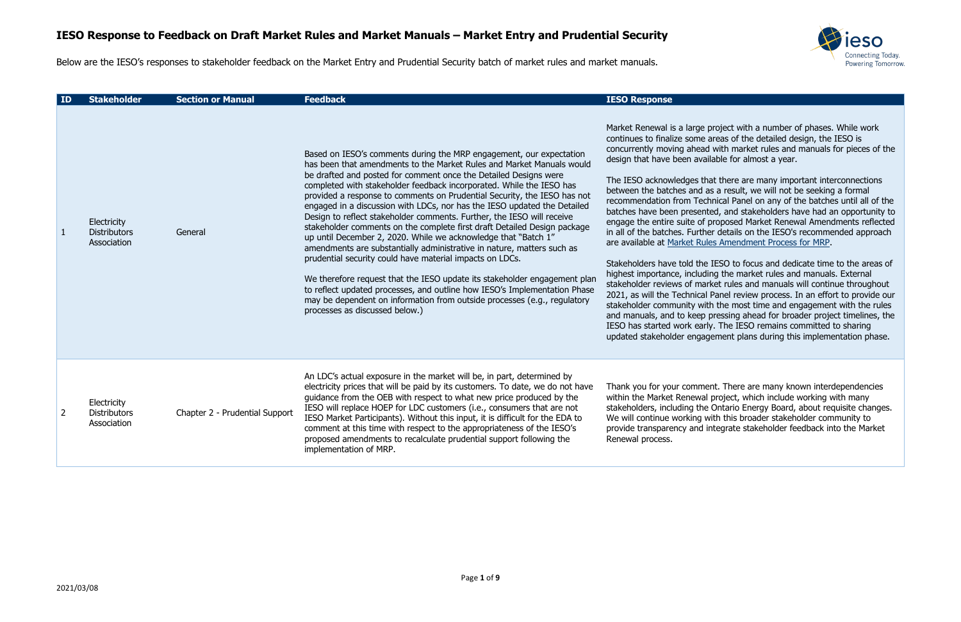

mereproject with a number of phases. While work e areas of the detailed design, the IESO is ad with market rules and manuals for pieces of the ailable for almost a year.

that there are many important interconnections as a result, we will not be seeking a formal chnical Panel on any of the batches until all of the nted, and stakeholders have had an opportunity to f proposed Market Renewal Amendments reflected her details on the IESO's recommended approach ales Amendment Process for MRP.

e IESO to focus and dedicate time to the areas of ding the market rules and manuals. External arket rules and manuals will continue throughout al Panel review process. In an effort to provide our ith the most time and engagement with the rules p pressing ahead for broader project timelines, the Irly. The IESO remains committed to sharing agement plans during this implementation phase.

nent. There are many known interdependencies al project, which include working with many ne Ontario Energy Board, about requisite changes. with this broader stakeholder community to integrate stakeholder feedback into the Market

2021/03/08

Below are the IESO's responses to stakeholder feedback on the Market Entry and Prudential Security batch of market rules and market manuals.

| ID             | <b>Stakeholder</b>                                | <b>Section or Manual</b>       | <b>Feedback</b>                                                                                                                                                                                                                                                                                                                                                                                                                                                                                                                                                                                                                                                                                                                                                                                                                                                                                                                                                                                                                                                                        | <b>IESO Response</b>                                                                                                                                                                                                                                                                                                                                                                                                                                                                                                                                          |
|----------------|---------------------------------------------------|--------------------------------|----------------------------------------------------------------------------------------------------------------------------------------------------------------------------------------------------------------------------------------------------------------------------------------------------------------------------------------------------------------------------------------------------------------------------------------------------------------------------------------------------------------------------------------------------------------------------------------------------------------------------------------------------------------------------------------------------------------------------------------------------------------------------------------------------------------------------------------------------------------------------------------------------------------------------------------------------------------------------------------------------------------------------------------------------------------------------------------|---------------------------------------------------------------------------------------------------------------------------------------------------------------------------------------------------------------------------------------------------------------------------------------------------------------------------------------------------------------------------------------------------------------------------------------------------------------------------------------------------------------------------------------------------------------|
| $\mathbf{1}$   | Electricity<br><b>Distributors</b><br>Association | General                        | Based on IESO's comments during the MRP engagement, our expectation<br>has been that amendments to the Market Rules and Market Manuals would<br>be drafted and posted for comment once the Detailed Designs were<br>completed with stakeholder feedback incorporated. While the IESO has<br>provided a response to comments on Prudential Security, the IESO has not<br>engaged in a discussion with LDCs, nor has the IESO updated the Detailed<br>Design to reflect stakeholder comments. Further, the IESO will receive<br>stakeholder comments on the complete first draft Detailed Design package<br>up until December 2, 2020. While we acknowledge that "Batch 1"<br>amendments are substantially administrative in nature, matters such as<br>prudential security could have material impacts on LDCs.<br>We therefore request that the IESO update its stakeholder engagement plan<br>to reflect updated processes, and outline how IESO's Implementation Phase<br>may be dependent on information from outside processes (e.g., regulatory<br>processes as discussed below.) | Market Renewal is a large<br>continues to finalize some<br>concurrently moving ahea<br>design that have been ave<br>The IESO acknowledges t<br>between the batches and<br>recommendation from Te<br>batches have been preser<br>engage the entire suite of<br>in all of the batches. Furtl<br>are available at Market Ru<br>Stakeholders have told th<br>highest importance, inclue<br>stakeholder reviews of ma<br>2021, as will the Technica<br>stakeholder community w<br>and manuals, and to keep<br>IESO has started work ea<br>updated stakeholder enga |
| $\overline{2}$ | Electricity<br><b>Distributors</b><br>Association | Chapter 2 - Prudential Support | An LDC's actual exposure in the market will be, in part, determined by<br>electricity prices that will be paid by its customers. To date, we do not have<br>guidance from the OEB with respect to what new price produced by the<br>IESO will replace HOEP for LDC customers (i.e., consumers that are not<br>IESO Market Participants). Without this input, it is difficult for the EDA to<br>comment at this time with respect to the appropriateness of the IESO's<br>proposed amendments to recalculate prudential support following the<br>implementation of MRP.                                                                                                                                                                                                                                                                                                                                                                                                                                                                                                                 | Thank you for your comm<br>within the Market Renewa<br>stakeholders, including th<br>We will continue working<br>provide transparency and<br>Renewal process.                                                                                                                                                                                                                                                                                                                                                                                                 |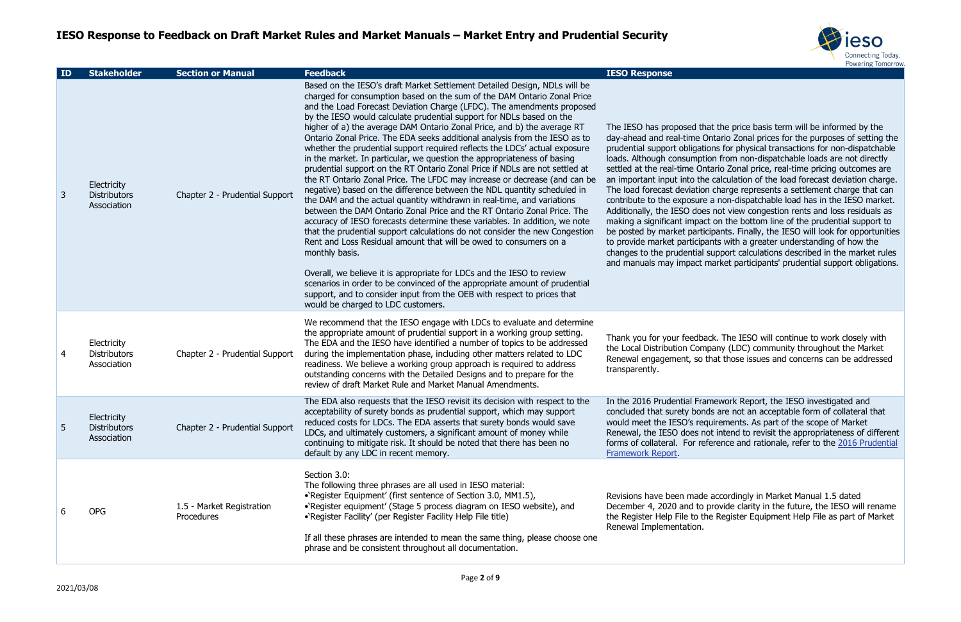

hat the price basis term will be informed by the Ontario Zonal prices for the purposes of setting the ions for physical transactions for non-dispatchable ion from non-dispatchable loads are not directly ntario Zonal price, real-time pricing outcomes are e calculation of the load forecast deviation charge. In charge represents a settlement charge that can e a non-dispatchable load has in the IESO market. es not view congestion rents and loss residuals as ct on the bottom line of the prudential support to icipants. Finally, the IESO will look for opportunities ants with a greater understanding of how the support calculations described in the market rules market participants' prudential support obligations.

ack. The IESO will continue to work closely with npany (LDC) community throughout the Market that those issues and concerns can be addressed

amework Report, the IESO investigated and nds are not an acceptable form of collateral that quirements. As part of the scope of Market ot intend to revisit the appropriateness of different eference and rationale, refer to the 2016 Prudential

e accordingly in Market Manual 1.5 dated provide clarity in the future, the IESO will rename he Register Equipment Help File as part of Market

| ID | <b>Stakeholder</b>                                | <b>Section or Manual</b>                | <b>Feedback</b>                                                                                                                                                                                                                                                                                                                                                                                                                                                                                                                                                                                                                                                                                                                                                                                                                                                                                                                                                                                                                                                                                                                                                                                                                                                                                                                                                                                                                                                                                                                                  | <b>IESO Response</b>                                                                                                                                                                                                                                                                                                                                                                                                            |
|----|---------------------------------------------------|-----------------------------------------|--------------------------------------------------------------------------------------------------------------------------------------------------------------------------------------------------------------------------------------------------------------------------------------------------------------------------------------------------------------------------------------------------------------------------------------------------------------------------------------------------------------------------------------------------------------------------------------------------------------------------------------------------------------------------------------------------------------------------------------------------------------------------------------------------------------------------------------------------------------------------------------------------------------------------------------------------------------------------------------------------------------------------------------------------------------------------------------------------------------------------------------------------------------------------------------------------------------------------------------------------------------------------------------------------------------------------------------------------------------------------------------------------------------------------------------------------------------------------------------------------------------------------------------------------|---------------------------------------------------------------------------------------------------------------------------------------------------------------------------------------------------------------------------------------------------------------------------------------------------------------------------------------------------------------------------------------------------------------------------------|
| 3  | Electricity<br><b>Distributors</b><br>Association | Chapter 2 - Prudential Support          | Based on the IESO's draft Market Settlement Detailed Design, NDLs will be<br>charged for consumption based on the sum of the DAM Ontario Zonal Price<br>and the Load Forecast Deviation Charge (LFDC). The amendments proposed<br>by the IESO would calculate prudential support for NDLs based on the<br>higher of a) the average DAM Ontario Zonal Price, and b) the average RT<br>Ontario Zonal Price. The EDA seeks additional analysis from the IESO as to<br>whether the prudential support required reflects the LDCs' actual exposure<br>in the market. In particular, we question the appropriateness of basing<br>prudential support on the RT Ontario Zonal Price if NDLs are not settled at<br>the RT Ontario Zonal Price. The LFDC may increase or decrease (and can be<br>negative) based on the difference between the NDL quantity scheduled in<br>the DAM and the actual quantity withdrawn in real-time, and variations<br>between the DAM Ontario Zonal Price and the RT Ontario Zonal Price. The<br>accuracy of IESO forecasts determine these variables. In addition, we note<br>that the prudential support calculations do not consider the new Congestion<br>Rent and Loss Residual amount that will be owed to consumers on a<br>monthly basis.<br>Overall, we believe it is appropriate for LDCs and the IESO to review<br>scenarios in order to be convinced of the appropriate amount of prudential<br>support, and to consider input from the OEB with respect to prices that<br>would be charged to LDC customers. | The IESO has proposed the<br>day-ahead and real-time C<br>prudential support obligati<br>loads. Although consumpti<br>settled at the real-time On<br>an important input into the<br>The load forecast deviation<br>contribute to the exposure<br>Additionally, the IESO doe<br>making a significant impac<br>be posted by market partio<br>to provide market participa<br>changes to the prudential<br>and manuals may impact r |
| 4  | Electricity<br><b>Distributors</b><br>Association | Chapter 2 - Prudential Support          | We recommend that the IESO engage with LDCs to evaluate and determine<br>the appropriate amount of prudential support in a working group setting.<br>The EDA and the IESO have identified a number of topics to be addressed<br>during the implementation phase, including other matters related to LDC<br>readiness. We believe a working group approach is required to address<br>outstanding concerns with the Detailed Designs and to prepare for the<br>review of draft Market Rule and Market Manual Amendments.                                                                                                                                                                                                                                                                                                                                                                                                                                                                                                                                                                                                                                                                                                                                                                                                                                                                                                                                                                                                                           | Thank you for your feedba<br>the Local Distribution Com<br>Renewal engagement, so<br>transparently.                                                                                                                                                                                                                                                                                                                             |
| 5  | Electricity<br><b>Distributors</b><br>Association | Chapter 2 - Prudential Support          | The EDA also requests that the IESO revisit its decision with respect to the<br>acceptability of surety bonds as prudential support, which may support<br>reduced costs for LDCs. The EDA asserts that surety bonds would save<br>LDCs, and ultimately customers, a significant amount of money while<br>continuing to mitigate risk. It should be noted that there has been no<br>default by any LDC in recent memory.                                                                                                                                                                                                                                                                                                                                                                                                                                                                                                                                                                                                                                                                                                                                                                                                                                                                                                                                                                                                                                                                                                                          | In the 2016 Prudential Fra<br>concluded that surety bon<br>would meet the IESO's red<br>Renewal, the IESO does n<br>forms of collateral. For re<br>Framework Report.                                                                                                                                                                                                                                                            |
| 6  | <b>OPG</b>                                        | 1.5 - Market Registration<br>Procedures | Section 3.0:<br>The following three phrases are all used in IESO material:<br>•'Register Equipment' (first sentence of Section 3.0, MM1.5),<br>•`Register equipment' (Stage 5 process diagram on IESO website), and<br>•`Register Facility' (per Register Facility Help File title)<br>If all these phrases are intended to mean the same thing, please choose one<br>phrase and be consistent throughout all documentation.                                                                                                                                                                                                                                                                                                                                                                                                                                                                                                                                                                                                                                                                                                                                                                                                                                                                                                                                                                                                                                                                                                                     | Revisions have been made<br>December 4, 2020 and to<br>the Register Help File to th<br>Renewal Implementation.                                                                                                                                                                                                                                                                                                                  |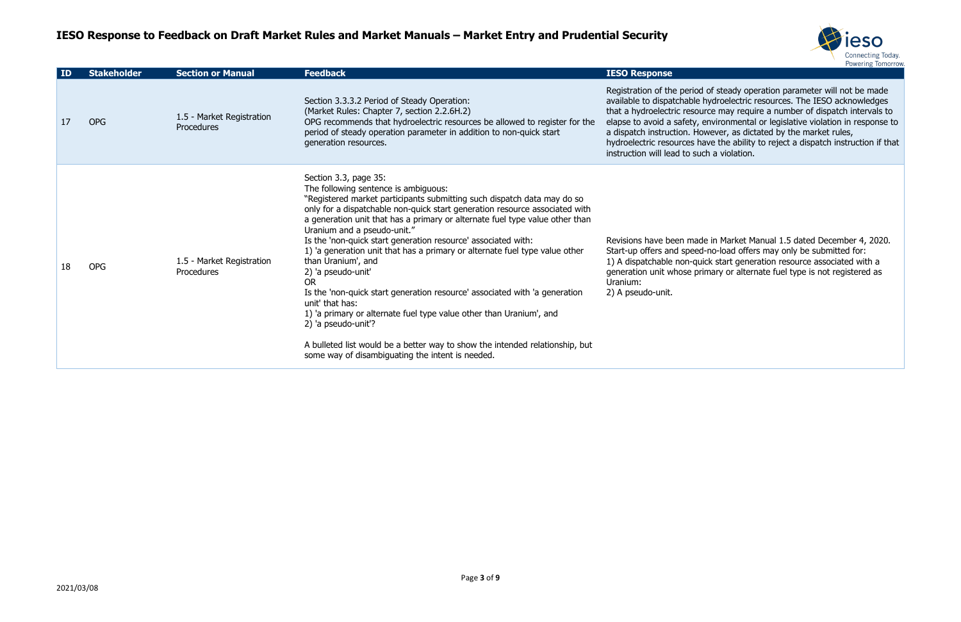

of steady operation parameter will not be made hydroelectric resources. The IESO acknowledges rce may require a number of dispatch intervals to environmental or legislative violation in response to wever, as dictated by the market rules,

ave the ability to reject a dispatch instruction if that  $ch a$  violation.

le in Market Manual 1.5 dated December 4, 2020. I-no-load offers may only be submitted for: ick start generation resource associated with a imary or alternate fuel type is not registered as

| $\overline{1}$ D | <b>Stakeholder</b> | <b>Section or Manual</b>                       | <b>Feedback</b>                                                                                                                                                                                                                                                                                                                                                                                                                                                                                                                                                                                                                                                                                                                                                                                                                                                                    | <b>IESO Response</b>                                                                                                                                                                                                 |
|------------------|--------------------|------------------------------------------------|------------------------------------------------------------------------------------------------------------------------------------------------------------------------------------------------------------------------------------------------------------------------------------------------------------------------------------------------------------------------------------------------------------------------------------------------------------------------------------------------------------------------------------------------------------------------------------------------------------------------------------------------------------------------------------------------------------------------------------------------------------------------------------------------------------------------------------------------------------------------------------|----------------------------------------------------------------------------------------------------------------------------------------------------------------------------------------------------------------------|
| 17               | <b>OPG</b>         | 1.5 - Market Registration<br><b>Procedures</b> | Section 3.3.3.2 Period of Steady Operation:<br>(Market Rules: Chapter 7, section 2.2.6H.2)<br>OPG recommends that hydroelectric resources be allowed to register for the<br>period of steady operation parameter in addition to non-quick start<br>generation resources.                                                                                                                                                                                                                                                                                                                                                                                                                                                                                                                                                                                                           | Registration of the period<br>available to dispatchable h<br>that a hydroelectric resour<br>elapse to avoid a safety, e<br>a dispatch instruction. Hov<br>hydroelectric resources ha<br>instruction will lead to suc |
| 18               | <b>OPG</b>         | 1.5 - Market Registration<br>Procedures        | Section 3.3, page 35:<br>The following sentence is ambiguous:<br>"Registered market participants submitting such dispatch data may do so<br>only for a dispatchable non-quick start generation resource associated with<br>a generation unit that has a primary or alternate fuel type value other than<br>Uranium and a pseudo-unit."<br>Is the 'non-quick start generation resource' associated with:<br>1) 'a generation unit that has a primary or alternate fuel type value other<br>than Uranium', and<br>2) 'a pseudo-unit'<br><b>OR</b><br>Is the 'non-quick start generation resource' associated with 'a generation<br>unit' that has:<br>1) 'a primary or alternate fuel type value other than Uranium', and<br>2) 'a pseudo-unit'?<br>A bulleted list would be a better way to show the intended relationship, but<br>some way of disambiguating the intent is needed. | Revisions have been made<br>Start-up offers and speed-<br>1) A dispatchable non-quid<br>generation unit whose prir<br>Uranium:<br>2) A pseudo-unit.                                                                  |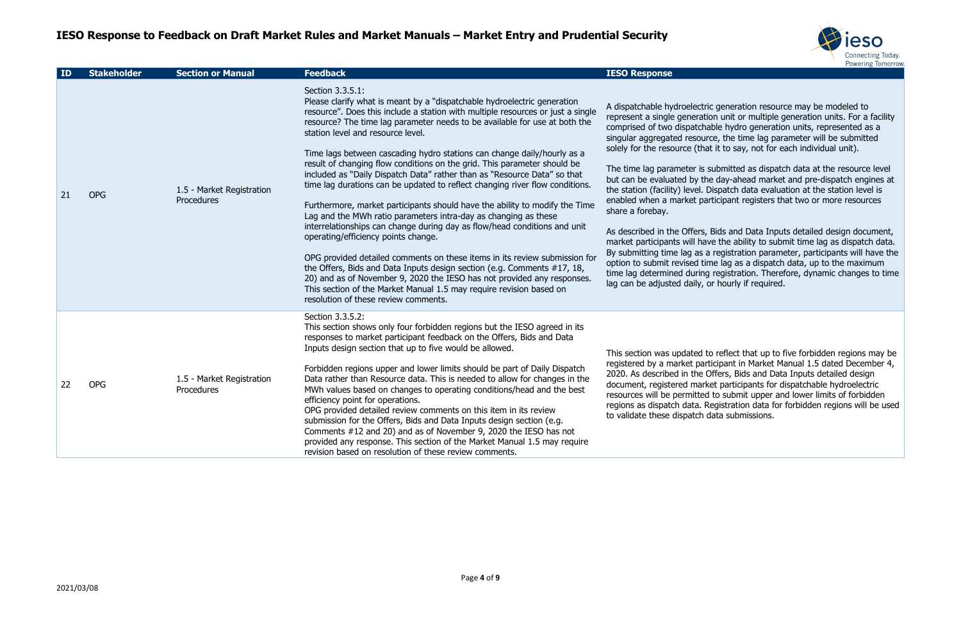

ric generation resource may be modeled to tion unit or multiple generation units. For a facility nable hydro generation units, represented as a arce, the time lag parameter will be submitted at it to say, not for each individual unit).

submitted as dispatch data at the resource level he day-ahead market and pre-dispatch engines at Dispatch data evaluation at the station level is articipant registers that two or more resources

s, Bids and Data Inputs detailed design document, ave the ability to submit time lag as dispatch data. a registration parameter, participants will have the ime lag as a dispatch data, up to the maximum g registration. Therefore, dynamic changes to time or hourly if required.

to reflect that up to five forbidden regions may be articipant in Market Manual 1.5 dated December 4, Offers, Bids and Data Inputs detailed design rket participants for dispatchable hydroelectric red to submit upper and lower limits of forbidden Registration data for forbidden regions will be used data submissions.

| ID | <b>Stakeholder</b> | <b>Section or Manual</b>                | <b>Feedback</b>                                                                                                                                                                                                                                                                                                                                                                                                                                                                                                                                                                                                                                                                                                                                                                                                                                                                                                                                                                                                                                                                                                                                                                                                                                | <b>IESO Response</b>                                                                                                                                                                                                                                                                                                                                                                                                                                                           |
|----|--------------------|-----------------------------------------|------------------------------------------------------------------------------------------------------------------------------------------------------------------------------------------------------------------------------------------------------------------------------------------------------------------------------------------------------------------------------------------------------------------------------------------------------------------------------------------------------------------------------------------------------------------------------------------------------------------------------------------------------------------------------------------------------------------------------------------------------------------------------------------------------------------------------------------------------------------------------------------------------------------------------------------------------------------------------------------------------------------------------------------------------------------------------------------------------------------------------------------------------------------------------------------------------------------------------------------------|--------------------------------------------------------------------------------------------------------------------------------------------------------------------------------------------------------------------------------------------------------------------------------------------------------------------------------------------------------------------------------------------------------------------------------------------------------------------------------|
| 21 | <b>OPG</b>         | 1.5 - Market Registration<br>Procedures | Section 3.3.5.1:<br>Please clarify what is meant by a "dispatchable hydroelectric generation<br>resource". Does this include a station with multiple resources or just a single<br>resource? The time lag parameter needs to be available for use at both the<br>station level and resource level.<br>Time lags between cascading hydro stations can change daily/hourly as a<br>result of changing flow conditions on the grid. This parameter should be<br>included as "Daily Dispatch Data" rather than as "Resource Data" so that<br>time lag durations can be updated to reflect changing river flow conditions.<br>Furthermore, market participants should have the ability to modify the Time<br>Lag and the MWh ratio parameters intra-day as changing as these<br>interrelationships can change during day as flow/head conditions and unit<br>operating/efficiency points change.<br>OPG provided detailed comments on these items in its review submission for<br>the Offers, Bids and Data Inputs design section (e.g. Comments #17, 18,<br>20) and as of November 9, 2020 the IESO has not provided any responses.<br>This section of the Market Manual 1.5 may require revision based on<br>resolution of these review comments. | A dispatchable hydroelect<br>represent a single general<br>comprised of two dispatch<br>singular aggregated resou<br>solely for the resource (th<br>The time lag parameter is<br>but can be evaluated by t<br>the station (facility) level.<br>enabled when a market pa<br>share a forebay.<br>As described in the Offers<br>market participants will ha<br>By submitting time lag as<br>option to submit revised t<br>time lag determined durin<br>lag can be adjusted daily, |
| 22 | <b>OPG</b>         | 1.5 - Market Registration<br>Procedures | Section 3.3.5.2:<br>This section shows only four forbidden regions but the IESO agreed in its<br>responses to market participant feedback on the Offers, Bids and Data<br>Inputs design section that up to five would be allowed.<br>Forbidden regions upper and lower limits should be part of Daily Dispatch<br>Data rather than Resource data. This is needed to allow for changes in the<br>MWh values based on changes to operating conditions/head and the best<br>efficiency point for operations.<br>OPG provided detailed review comments on this item in its review<br>submission for the Offers, Bids and Data Inputs design section (e.g.<br>Comments #12 and 20) and as of November 9, 2020 the IESO has not<br>provided any response. This section of the Market Manual 1.5 may require<br>revision based on resolution of these review comments.                                                                                                                                                                                                                                                                                                                                                                                | This section was updated<br>registered by a market pa<br>2020. As described in the<br>document, registered mar<br>resources will be permitte<br>regions as dispatch data.<br>to validate these dispatch                                                                                                                                                                                                                                                                        |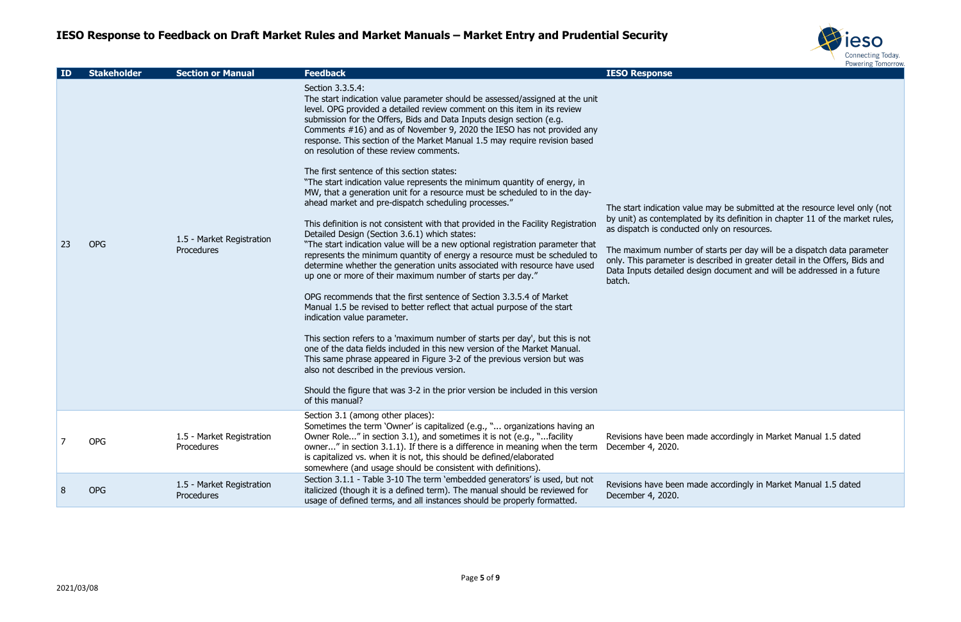

may be submitted at the resource level only (not by its definition in chapter 11 of the market rules, only on resources.

 $\frac{1}{3}$  starts per day will be a dispatch data parameter escribed in greater detail in the Offers, Bids and an document and will be addressed in a future

le accordingly in Market Manual 1.5 dated

le accordingly in Market Manual 1.5 dated

| ID | <b>Stakeholder</b> | <b>Section or Manual</b>                       | <b>Feedback</b>                                                                                                                                                                                                                                                                                                                                                                                                                                                                                                                                                                                                                                                                                                                                                                                                                                                                                                                                                                                                                                                                                                                                                                                                                                                                                                                                                                                                                                                                                                                                                                                                                                                                                                                                         | <b>IESO Response</b>                                                                                                                                                                  |
|----|--------------------|------------------------------------------------|---------------------------------------------------------------------------------------------------------------------------------------------------------------------------------------------------------------------------------------------------------------------------------------------------------------------------------------------------------------------------------------------------------------------------------------------------------------------------------------------------------------------------------------------------------------------------------------------------------------------------------------------------------------------------------------------------------------------------------------------------------------------------------------------------------------------------------------------------------------------------------------------------------------------------------------------------------------------------------------------------------------------------------------------------------------------------------------------------------------------------------------------------------------------------------------------------------------------------------------------------------------------------------------------------------------------------------------------------------------------------------------------------------------------------------------------------------------------------------------------------------------------------------------------------------------------------------------------------------------------------------------------------------------------------------------------------------------------------------------------------------|---------------------------------------------------------------------------------------------------------------------------------------------------------------------------------------|
| 23 | <b>OPG</b>         | 1.5 - Market Registration<br>Procedures        | Section 3.3.5.4:<br>The start indication value parameter should be assessed/assigned at the unit<br>level. OPG provided a detailed review comment on this item in its review<br>submission for the Offers, Bids and Data Inputs design section (e.g.<br>Comments #16) and as of November 9, 2020 the IESO has not provided any<br>response. This section of the Market Manual 1.5 may require revision based<br>on resolution of these review comments.<br>The first sentence of this section states:<br>"The start indication value represents the minimum quantity of energy, in<br>MW, that a generation unit for a resource must be scheduled to in the day-<br>ahead market and pre-dispatch scheduling processes."<br>This definition is not consistent with that provided in the Facility Registration<br>Detailed Design (Section 3.6.1) which states:<br>"The start indication value will be a new optional registration parameter that<br>represents the minimum quantity of energy a resource must be scheduled to<br>determine whether the generation units associated with resource have used<br>up one or more of their maximum number of starts per day."<br>OPG recommends that the first sentence of Section 3.3.5.4 of Market<br>Manual 1.5 be revised to better reflect that actual purpose of the start<br>indication value parameter.<br>This section refers to a 'maximum number of starts per day', but this is not<br>one of the data fields included in this new version of the Market Manual.<br>This same phrase appeared in Figure 3-2 of the previous version but was<br>also not described in the previous version.<br>Should the figure that was 3-2 in the prior version be included in this version<br>of this manual? | The start indication value<br>by unit) as contemplated I<br>as dispatch is conducted o<br>The maximum number of<br>only. This parameter is de<br>Data Inputs detailed desig<br>batch. |
| 7  | <b>OPG</b>         | 1.5 - Market Registration<br>Procedures        | Section 3.1 (among other places):<br>Sometimes the term 'Owner' is capitalized (e.g., " organizations having an<br>Owner Role" in section 3.1), and sometimes it is not (e.g., "facility<br>owner" in section 3.1.1). If there is a difference in meaning when the term<br>is capitalized vs. when it is not, this should be defined/elaborated<br>somewhere (and usage should be consistent with definitions).                                                                                                                                                                                                                                                                                                                                                                                                                                                                                                                                                                                                                                                                                                                                                                                                                                                                                                                                                                                                                                                                                                                                                                                                                                                                                                                                         | Revisions have been made<br>December 4, 2020.                                                                                                                                         |
| 8  | <b>OPG</b>         | 1.5 - Market Registration<br><b>Procedures</b> | Section 3.1.1 - Table 3-10 The term 'embedded generators' is used, but not<br>italicized (though it is a defined term). The manual should be reviewed for<br>usage of defined terms, and all instances should be properly formatted.                                                                                                                                                                                                                                                                                                                                                                                                                                                                                                                                                                                                                                                                                                                                                                                                                                                                                                                                                                                                                                                                                                                                                                                                                                                                                                                                                                                                                                                                                                                    | Revisions have been made<br>December 4, 2020.                                                                                                                                         |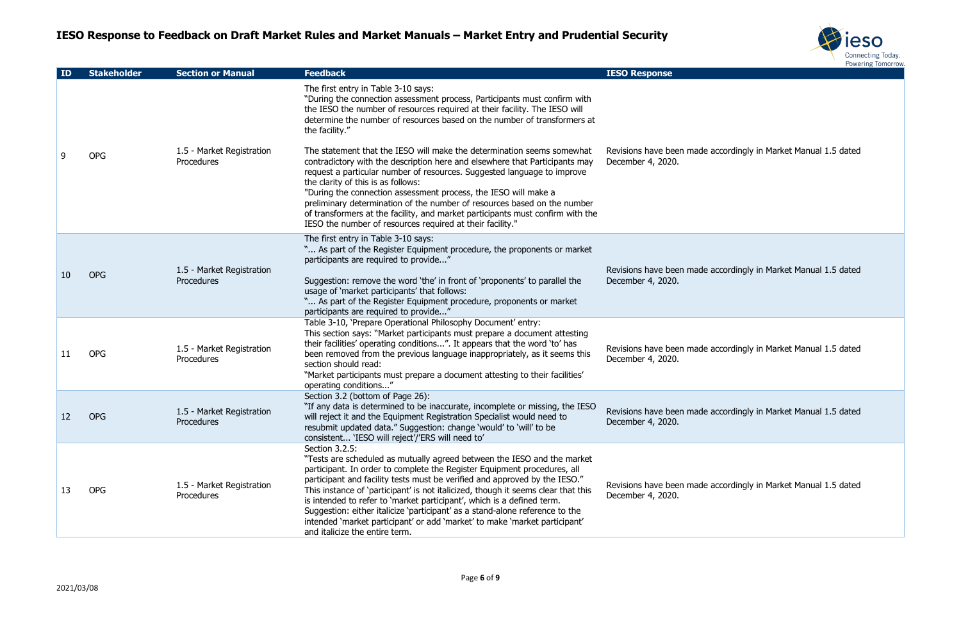

e accordingly in Market Manual 1.5 dated

e accordingly in Market Manual 1.5 dated

e accordingly in Market Manual 1.5 dated

e accordingly in Market Manual 1.5 dated

e accordingly in Market Manual 1.5 dated

| ID | <b>Stakeholder</b> | <b>Section or Manual</b>                | <b>Feedback</b>                                                                                                                                                                                                                                                                                                                                                                                                                                                                                                                                                                                                    | <b>IESO Response</b>                          |
|----|--------------------|-----------------------------------------|--------------------------------------------------------------------------------------------------------------------------------------------------------------------------------------------------------------------------------------------------------------------------------------------------------------------------------------------------------------------------------------------------------------------------------------------------------------------------------------------------------------------------------------------------------------------------------------------------------------------|-----------------------------------------------|
|    |                    |                                         | The first entry in Table 3-10 says:<br>"During the connection assessment process, Participants must confirm with<br>the IESO the number of resources required at their facility. The IESO will<br>determine the number of resources based on the number of transformers at<br>the facility."                                                                                                                                                                                                                                                                                                                       |                                               |
| 9  | <b>OPG</b>         | 1.5 - Market Registration<br>Procedures | The statement that the IESO will make the determination seems somewhat<br>contradictory with the description here and elsewhere that Participants may<br>request a particular number of resources. Suggested language to improve<br>the clarity of this is as follows:<br>"During the connection assessment process, the IESO will make a<br>preliminary determination of the number of resources based on the number<br>of transformers at the facility, and market participants must confirm with the<br>IESO the number of resources required at their facility."                                               | Revisions have been made<br>December 4, 2020. |
| 10 | <b>OPG</b>         | 1.5 - Market Registration<br>Procedures | The first entry in Table 3-10 says:<br>" As part of the Register Equipment procedure, the proponents or market<br>participants are required to provide"<br>Suggestion: remove the word 'the' in front of 'proponents' to parallel the<br>usage of 'market participants' that follows:<br>" As part of the Register Equipment procedure, proponents or market<br>participants are required to provide"                                                                                                                                                                                                              | Revisions have been made<br>December 4, 2020. |
| 11 | <b>OPG</b>         | 1.5 - Market Registration<br>Procedures | Table 3-10, 'Prepare Operational Philosophy Document' entry:<br>This section says: "Market participants must prepare a document attesting<br>their facilities' operating conditions". It appears that the word 'to' has<br>been removed from the previous language inappropriately, as it seems this<br>section should read:<br>"Market participants must prepare a document attesting to their facilities"<br>operating conditions"                                                                                                                                                                               | Revisions have been made<br>December 4, 2020. |
| 12 | <b>OPG</b>         | 1.5 - Market Registration<br>Procedures | Section 3.2 (bottom of Page 26):<br>"If any data is determined to be inaccurate, incomplete or missing, the IESO<br>will reject it and the Equipment Registration Specialist would need to<br>resubmit updated data." Suggestion: change 'would' to 'will' to be<br>consistent 'IESO will reject'/'ERS will need to'                                                                                                                                                                                                                                                                                               | Revisions have been made<br>December 4, 2020. |
| 13 | <b>OPG</b>         | 1.5 - Market Registration<br>Procedures | Section 3.2.5:<br>"Tests are scheduled as mutually agreed between the IESO and the market<br>participant. In order to complete the Register Equipment procedures, all<br>participant and facility tests must be verified and approved by the IESO."<br>This instance of 'participant' is not italicized, though it seems clear that this<br>is intended to refer to 'market participant', which is a defined term.<br>Suggestion: either italicize 'participant' as a stand-alone reference to the<br>intended 'market participant' or add 'market' to make 'market participant'<br>and italicize the entire term. | Revisions have been made<br>December 4, 2020. |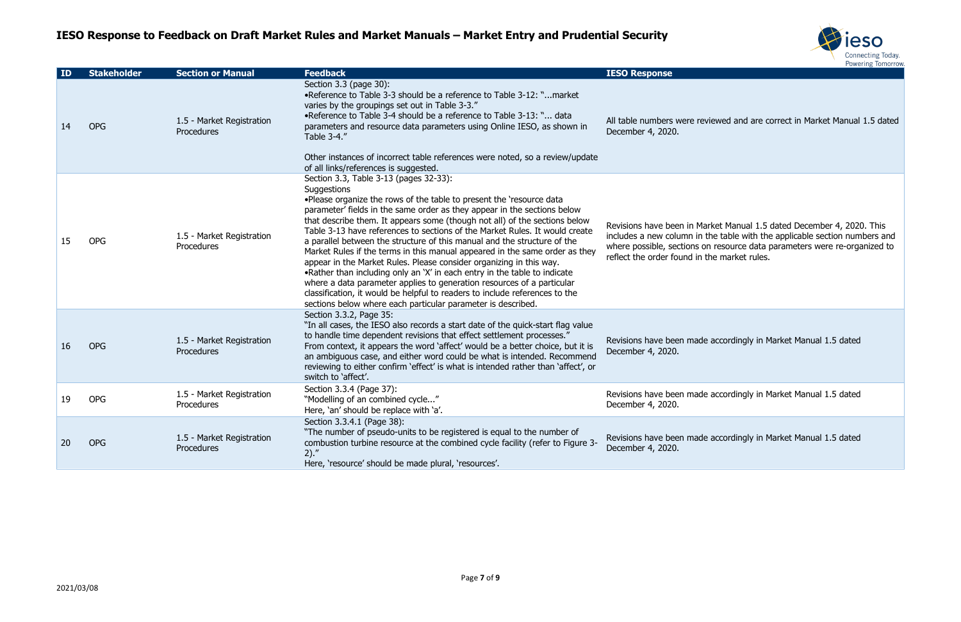

#### viewed and are correct in Market Manual 1.5 dated

arket Manual 1.5 dated December 4, 2020. This include the table with the applicable section numbers and on resource data parameters were re-organized to the market rules.

e accordingly in Market Manual 1.5 dated

e accordingly in Market Manual 1.5 dated

e accordingly in Market Manual 1.5 dated

| ID | <b>Stakeholder</b> | <b>Section or Manual</b>                | <b>Feedback</b>                                                                                                                                                                                                                                                                                                                                                                                                                                                                                                                                                                                                                                                                                                                                                                                                                                                                                                 | <b>IESO Response</b>                                                                                                |
|----|--------------------|-----------------------------------------|-----------------------------------------------------------------------------------------------------------------------------------------------------------------------------------------------------------------------------------------------------------------------------------------------------------------------------------------------------------------------------------------------------------------------------------------------------------------------------------------------------------------------------------------------------------------------------------------------------------------------------------------------------------------------------------------------------------------------------------------------------------------------------------------------------------------------------------------------------------------------------------------------------------------|---------------------------------------------------------------------------------------------------------------------|
| 14 | <b>OPG</b>         | 1.5 - Market Registration<br>Procedures | Section 3.3 (page 30):<br>•Reference to Table 3-3 should be a reference to Table 3-12: "market<br>varies by the groupings set out in Table 3-3."<br>. Reference to Table 3-4 should be a reference to Table 3-13: " data<br>parameters and resource data parameters using Online IESO, as shown in<br>Table 3-4."<br>Other instances of incorrect table references were noted, so a review/update                                                                                                                                                                                                                                                                                                                                                                                                                                                                                                               | All table numbers were rev<br>December 4, 2020.                                                                     |
|    |                    |                                         | of all links/references is suggested.                                                                                                                                                                                                                                                                                                                                                                                                                                                                                                                                                                                                                                                                                                                                                                                                                                                                           |                                                                                                                     |
| 15 | <b>OPG</b>         | 1.5 - Market Registration<br>Procedures | Section 3.3, Table 3-13 (pages 32-33):<br>Suggestions<br>. Please organize the rows of the table to present the 'resource data<br>parameter' fields in the same order as they appear in the sections below<br>that describe them. It appears some (though not all) of the sections below<br>Table 3-13 have references to sections of the Market Rules. It would create<br>a parallel between the structure of this manual and the structure of the<br>Market Rules if the terms in this manual appeared in the same order as they<br>appear in the Market Rules. Please consider organizing in this way.<br>.Rather than including only an 'X' in each entry in the table to indicate<br>where a data parameter applies to generation resources of a particular<br>classification, it would be helpful to readers to include references to the<br>sections below where each particular parameter is described. | Revisions have been in Ma<br>includes a new column in<br>where possible, sections o<br>reflect the order found in t |
| 16 | <b>OPG</b>         | 1.5 - Market Registration<br>Procedures | Section 3.3.2, Page 35:<br>"In all cases, the IESO also records a start date of the quick-start flag value<br>to handle time dependent revisions that effect settlement processes."<br>From context, it appears the word 'affect' would be a better choice, but it is<br>an ambiguous case, and either word could be what is intended. Recommend<br>reviewing to either confirm 'effect' is what is intended rather than 'affect', or<br>switch to 'affect'.                                                                                                                                                                                                                                                                                                                                                                                                                                                    | Revisions have been made<br>December 4, 2020.                                                                       |
| 19 | <b>OPG</b>         | 1.5 - Market Registration<br>Procedures | Section 3.3.4 (Page 37):<br>"Modelling of an combined cycle"<br>Here, 'an' should be replace with 'a'.                                                                                                                                                                                                                                                                                                                                                                                                                                                                                                                                                                                                                                                                                                                                                                                                          | Revisions have been made<br>December 4, 2020.                                                                       |
| 20 | <b>OPG</b>         | 1.5 - Market Registration<br>Procedures | Section 3.3.4.1 (Page 38):<br>"The number of pseudo-units to be registered is equal to the number of<br>combustion turbine resource at the combined cycle facility (refer to Figure 3-<br>2).''<br>Here, 'resource' should be made plural, 'resources'.                                                                                                                                                                                                                                                                                                                                                                                                                                                                                                                                                                                                                                                         | Revisions have been made<br>December 4, 2020.                                                                       |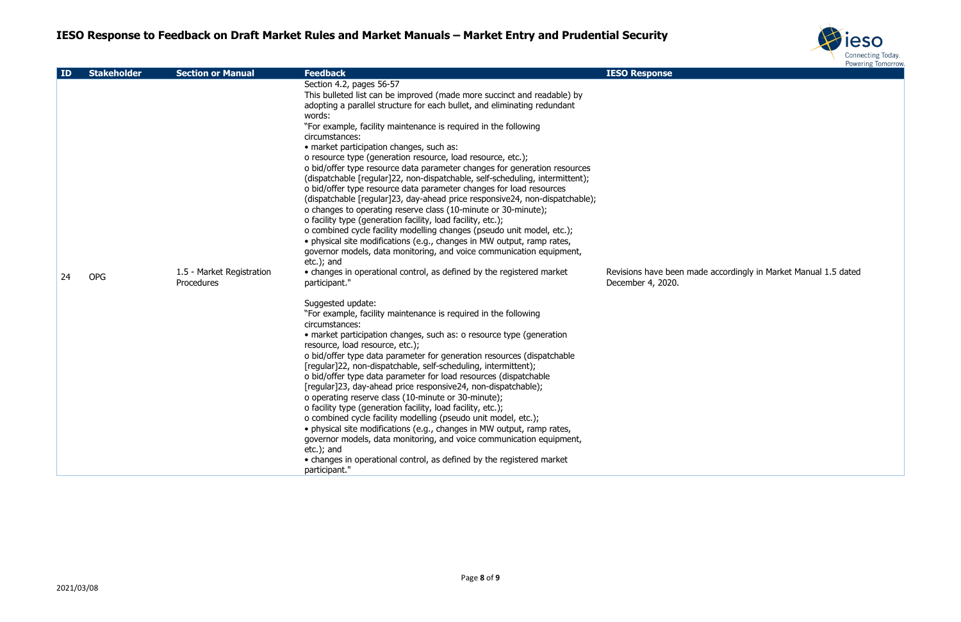

de accordingly in Market Manual 1.5 dated

| ID | <b>Stakeholder</b> | <b>Section or Manual</b>                | <b>Feedback</b>                                                                                                                                                                                                                                                                                          | <b>IESO Response</b>                         |
|----|--------------------|-----------------------------------------|----------------------------------------------------------------------------------------------------------------------------------------------------------------------------------------------------------------------------------------------------------------------------------------------------------|----------------------------------------------|
|    |                    |                                         | Section 4.2, pages 56-57<br>This bulleted list can be improved (made more succinct and readable) by<br>adopting a parallel structure for each bullet, and eliminating redundant<br>words:                                                                                                                |                                              |
|    |                    |                                         | "For example, facility maintenance is required in the following<br>circumstances:<br>· market participation changes, such as:                                                                                                                                                                            |                                              |
|    |                    |                                         | o resource type (generation resource, load resource, etc.);<br>o bid/offer type resource data parameter changes for generation resources<br>(dispatchable [regular]22, non-dispatchable, self-scheduling, intermittent);                                                                                 |                                              |
|    |                    |                                         | o bid/offer type resource data parameter changes for load resources<br>(dispatchable [regular]23, day-ahead price responsive24, non-dispatchable);<br>o changes to operating reserve class (10-minute or 30-minute);                                                                                     |                                              |
|    |                    |                                         | o facility type (generation facility, load facility, etc.);<br>o combined cycle facility modelling changes (pseudo unit model, etc.);<br>· physical site modifications (e.g., changes in MW output, ramp rates,<br>governor models, data monitoring, and voice communication equipment,<br>$etc.$ ); and |                                              |
| 24 | <b>OPG</b>         | 1.5 - Market Registration<br>Procedures | • changes in operational control, as defined by the registered market<br>participant."                                                                                                                                                                                                                   | Revisions have been mad<br>December 4, 2020. |
|    |                    |                                         | Suggested update:<br>"For example, facility maintenance is required in the following                                                                                                                                                                                                                     |                                              |
|    |                    |                                         | circumstances:<br>• market participation changes, such as: o resource type (generation<br>resource, load resource, etc.);                                                                                                                                                                                |                                              |
|    |                    |                                         | o bid/offer type data parameter for generation resources (dispatchable<br>[regular]22, non-dispatchable, self-scheduling, intermittent);<br>o bid/offer type data parameter for load resources (dispatchable                                                                                             |                                              |
|    |                    |                                         | [regular]23, day-ahead price responsive24, non-dispatchable);<br>o operating reserve class (10-minute or 30-minute);                                                                                                                                                                                     |                                              |
|    |                    |                                         | o facility type (generation facility, load facility, etc.);<br>o combined cycle facility modelling (pseudo unit model, etc.);<br>• physical site modifications (e.g., changes in MW output, ramp rates,                                                                                                  |                                              |
|    |                    |                                         | governor models, data monitoring, and voice communication equipment,<br>etc.); and                                                                                                                                                                                                                       |                                              |
|    |                    |                                         | • changes in operational control, as defined by the registered market<br>participant."                                                                                                                                                                                                                   |                                              |